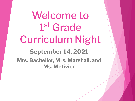Welcome to 1 st Grade Curriculum Night **September 14, 2021 Mrs. Bachellor, Mrs. Marshall, and Ms. Metivier**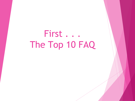### First . . . The Top 10 FAQ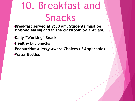# 10. Breakfast and Snacks

- **•Breakfast served at 7:30 am. Students must be finished eating and in the classroom by 7:45 am.**
- **•Daily "Working" Snack**
- **•Healthy Dry Snacks**
- **•Peanut/Nut Allergy Aware Choices (If Applicable) •Water Bottles**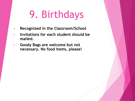# 9. Birthdays

- **• Recognized in the Classroom/School**
- **• Invitations for each student should be mailed.**
- **• Goody Bags are welcome but not necessary. No food items, please!**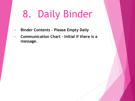# 8. Daily Binder

- **• Binder Contents Please Empty Daily**
- **• Communication Chart Initial if there is a message.**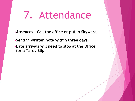#### 7. Attendance

- **•Absences Call the office or put in Skyward.**
- **•Send in written note within three days.**
- **•Late arrivals will need to stop at the Office for a Tardy Slip.**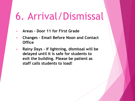## 6. Arrival/Dismissal

- **• Areas Door 11 for First Grade**
- **• Changes Email Before Noon and Contact Office**
- **• Rainy Days If lightning, dismissal will be delayed until it is safe for students to exit the building. Please be patient as staff calls students to load!**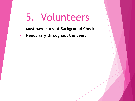### 5. Volunteers

- **• Must have current Background Check!**
- **• Needs vary throughout the year.**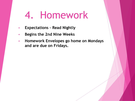#### 4. Homework

- **• Expectations Read Nightly**
- **• Begins the 2nd Nine Weeks**
- **• Homework Envelopes go home on Mondays and are due on Fridays.**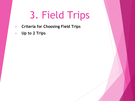## 3. Field Trips

- **• Criteria for Choosing Field Trips**
- **• Up to 2 Trips**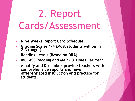# 2. Report Cards/Assessment

- **• Nine Weeks Report Card Schedule**
- **• Grading Scales 1-4 (Most students will be in 2-3 range.)**
- **• Reading Levels (Based on DRA)**
- **• mCLASS Reading and MAP 3 Times Per Year**
- **• Amplify and Dreambox provide teachers with comprehensive reports and have differentiated instruction and practice for students**.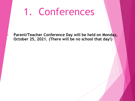## 1. Conferences

**• Parent/Teacher Conference Day will be held on Monday, October 25, 2021. (There will be no school that day!)**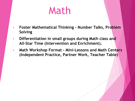#### Math

- **• Foster Mathematical Thinking Number Talks, Problem Solving**
- **• Differentiation in small groups during Math class and All-Star Time (Intervention and Enrichment).**
- **• Math Workshop Format Mini-Lessons and Math Centers (Independent Practice, Partner Work, Teacher Table)**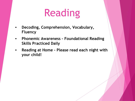# Reading

- **• Decoding, Comprehension, Vocabulary, Fluency**
- **• Phonemic Awareness Foundational Reading Skills Practiced Daily**
- **• Reading at Home Please read each night with your child!**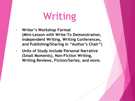# Writing

- **• Writer's Workshop Format (Mini-Lesson with Write-To Demonstration, Independent Writing, Writing Conferences, and Publishing/Sharing in "Author's Chair")**
- **• Units of Study include Personal Narrative (Small Moments), Non-Fiction Writing, Writing Reviews, Fiction/Series, and more.**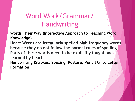#### Word Work/Grammar/ Handwriting

**Words Their Way (Interactive Approach to Teaching Word Knowledge)** 

**Heart Words are irregularly spelled high frequency words because they do not follow the normal rules of spelling. Parts of these words need to be explicitly taught and learned by heart.**

**Handwriting (Strokes, Spacing, Posture, Pencil Grip, Letter Formation)**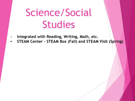# Science/Social Studies

- **• Integrated with Reading, Writing, Math, etc.**
- **• STEAM Center STEAM Box (Fall) and STEAM Visit (Spring)**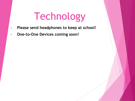# Technology

- **• Please send headphones to keep at school!**
- **• One-to-One Devices coming soon!**